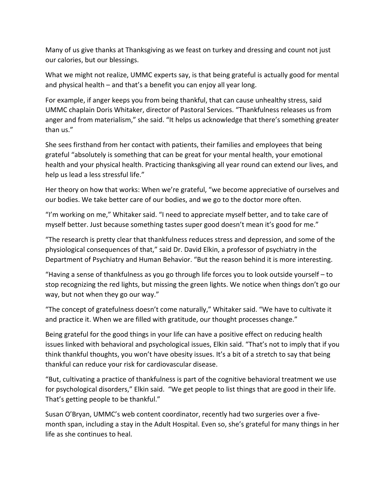Many of us give thanks at Thanksgiving as we feast on turkey and dressing and count not just our calories, but our blessings.

What we might not realize, UMMC experts say, is that being grateful is actually good for mental and physical health – and that's a benefit you can enjoy all year long.

For example, if anger keeps you from being thankful, that can cause unhealthy stress, said UMMC chaplain Doris Whitaker, director of Pastoral Services. "Thankfulness releases us from anger and from materialism," she said. "It helps us acknowledge that there's something greater than us."

She sees firsthand from her contact with patients, their families and employees that being grateful "absolutely is something that can be great for your mental health, your emotional health and your physical health. Practicing thanksgiving all year round can extend our lives, and help us lead a less stressful life."

Her theory on how that works: When we're grateful, "we become appreciative of ourselves and our bodies. We take better care of our bodies, and we go to the doctor more often.

"I'm working on me," Whitaker said. "I need to appreciate myself better, and to take care of myself better. Just because something tastes super good doesn't mean it's good for me."

"The research is pretty clear that thankfulness reduces stress and depression, and some of the physiological consequences of that," said Dr. David Elkin, a professor of psychiatry in the Department of Psychiatry and Human Behavior. "But the reason behind it is more interesting.

"Having a sense of thankfulness as you go through life forces you to look outside yourself – to stop recognizing the red lights, but missing the green lights. We notice when things don't go our way, but not when they go our way."

"The concept of gratefulness doesn't come naturally," Whitaker said. "We have to cultivate it and practice it. When we are filled with gratitude, our thought processes change."

Being grateful for the good things in your life can have a positive effect on reducing health issues linked with behavioral and psychological issues, Elkin said. "That's not to imply that if you think thankful thoughts, you won't have obesity issues. It's a bit of a stretch to say that being thankful can reduce your risk for cardiovascular disease.

"But, cultivating a practice of thankfulness is part of the cognitive behavioral treatment we use for psychological disorders," Elkin said. "We get people to list things that are good in their life. That's getting people to be thankful."

Susan O'Bryan, UMMC's web content coordinator, recently had two surgeries over a five‐ month span, including a stay in the Adult Hospital. Even so, she's grateful for many things in her life as she continues to heal.